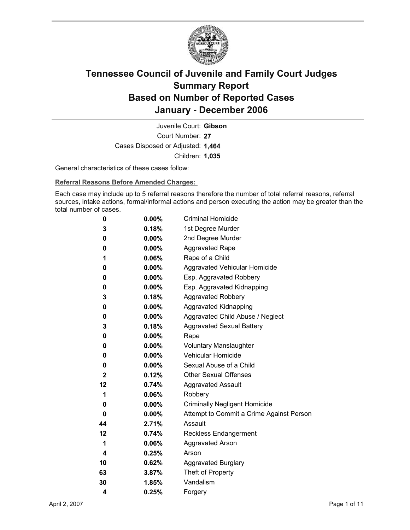

Court Number: **27** Juvenile Court: **Gibson** Cases Disposed or Adjusted: **1,464** Children: **1,035**

General characteristics of these cases follow:

**Referral Reasons Before Amended Charges:** 

Each case may include up to 5 referral reasons therefore the number of total referral reasons, referral sources, intake actions, formal/informal actions and person executing the action may be greater than the total number of cases.

| 0            | $0.00\%$ | <b>Criminal Homicide</b>                 |
|--------------|----------|------------------------------------------|
| 3            | 0.18%    | 1st Degree Murder                        |
| 0            | $0.00\%$ | 2nd Degree Murder                        |
| 0            | $0.00\%$ | <b>Aggravated Rape</b>                   |
| 1            | $0.06\%$ | Rape of a Child                          |
| 0            | $0.00\%$ | Aggravated Vehicular Homicide            |
| 0            | $0.00\%$ | Esp. Aggravated Robbery                  |
| 0            | $0.00\%$ | Esp. Aggravated Kidnapping               |
| 3            | 0.18%    | <b>Aggravated Robbery</b>                |
| 0            | $0.00\%$ | <b>Aggravated Kidnapping</b>             |
| 0            | $0.00\%$ | Aggravated Child Abuse / Neglect         |
| 3            | 0.18%    | <b>Aggravated Sexual Battery</b>         |
| 0            | $0.00\%$ | Rape                                     |
| 0            | $0.00\%$ | <b>Voluntary Manslaughter</b>            |
| 0            | $0.00\%$ | <b>Vehicular Homicide</b>                |
| 0            | $0.00\%$ | Sexual Abuse of a Child                  |
| $\mathbf{2}$ | $0.12\%$ | <b>Other Sexual Offenses</b>             |
| 12           | 0.74%    | <b>Aggravated Assault</b>                |
| 1            | $0.06\%$ | Robbery                                  |
| 0            | $0.00\%$ | <b>Criminally Negligent Homicide</b>     |
| 0            | $0.00\%$ | Attempt to Commit a Crime Against Person |
| 44           | 2.71%    | Assault                                  |
| 12           | 0.74%    | <b>Reckless Endangerment</b>             |
| 1            | $0.06\%$ | <b>Aggravated Arson</b>                  |
| 4            | 0.25%    | Arson                                    |
| 10           | 0.62%    | <b>Aggravated Burglary</b>               |
| 63           | $3.87\%$ | Theft of Property                        |
| 30           | 1.85%    | Vandalism                                |
| 4            | 0.25%    | Forgery                                  |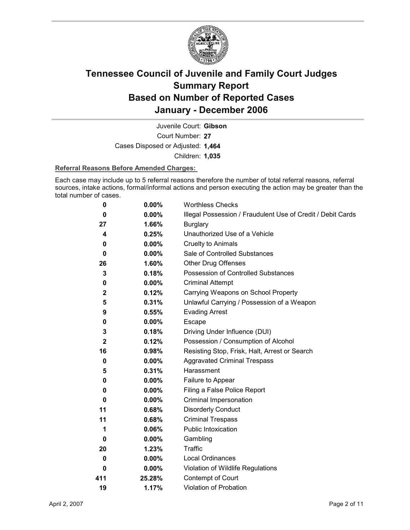

Court Number: **27** Juvenile Court: **Gibson** Cases Disposed or Adjusted: **1,464** Children: **1,035**

#### **Referral Reasons Before Amended Charges:**

Each case may include up to 5 referral reasons therefore the number of total referral reasons, referral sources, intake actions, formal/informal actions and person executing the action may be greater than the total number of cases.

| 0            | $0.00\%$ | <b>Worthless Checks</b>                                     |
|--------------|----------|-------------------------------------------------------------|
| 0            | $0.00\%$ | Illegal Possession / Fraudulent Use of Credit / Debit Cards |
| 27           | 1.66%    | <b>Burglary</b>                                             |
| 4            | 0.25%    | Unauthorized Use of a Vehicle                               |
| 0            | $0.00\%$ | <b>Cruelty to Animals</b>                                   |
| 0            | $0.00\%$ | Sale of Controlled Substances                               |
| 26           | 1.60%    | <b>Other Drug Offenses</b>                                  |
| 3            | 0.18%    | Possession of Controlled Substances                         |
| 0            | 0.00%    | <b>Criminal Attempt</b>                                     |
| $\mathbf{2}$ | 0.12%    | Carrying Weapons on School Property                         |
| 5            | 0.31%    | Unlawful Carrying / Possession of a Weapon                  |
| 9            | 0.55%    | <b>Evading Arrest</b>                                       |
| 0            | 0.00%    | Escape                                                      |
| 3            | 0.18%    | Driving Under Influence (DUI)                               |
| $\mathbf{2}$ | 0.12%    | Possession / Consumption of Alcohol                         |
| 16           | 0.98%    | Resisting Stop, Frisk, Halt, Arrest or Search               |
| 0            | $0.00\%$ | <b>Aggravated Criminal Trespass</b>                         |
| 5            | 0.31%    | Harassment                                                  |
| 0            | $0.00\%$ | Failure to Appear                                           |
| 0            | $0.00\%$ | Filing a False Police Report                                |
| 0            | $0.00\%$ | Criminal Impersonation                                      |
| 11           | 0.68%    | <b>Disorderly Conduct</b>                                   |
| 11           | 0.68%    | <b>Criminal Trespass</b>                                    |
| 1            | 0.06%    | <b>Public Intoxication</b>                                  |
| 0            | $0.00\%$ | Gambling                                                    |
| 20           | 1.23%    | <b>Traffic</b>                                              |
| 0            | 0.00%    | Local Ordinances                                            |
| 0            | $0.00\%$ | Violation of Wildlife Regulations                           |
| 411          | 25.28%   | Contempt of Court                                           |
| 19           | 1.17%    | Violation of Probation                                      |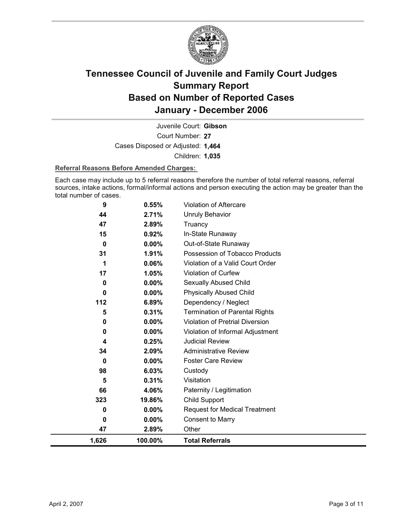

Court Number: **27** Juvenile Court: **Gibson** Cases Disposed or Adjusted: **1,464** Children: **1,035**

#### **Referral Reasons Before Amended Charges:**

Each case may include up to 5 referral reasons therefore the number of total referral reasons, referral sources, intake actions, formal/informal actions and person executing the action may be greater than the total number of cases.

| 9            | 0.55%    | Violation of Aftercare                |
|--------------|----------|---------------------------------------|
| 44           | 2.71%    | <b>Unruly Behavior</b>                |
| 47           | 2.89%    | Truancy                               |
| 15           | 0.92%    | In-State Runaway                      |
| $\mathbf{0}$ | 0.00%    | Out-of-State Runaway                  |
| 31           | 1.91%    | Possession of Tobacco Products        |
| 1            | 0.06%    | Violation of a Valid Court Order      |
| 17           | 1.05%    | Violation of Curfew                   |
| 0            | 0.00%    | Sexually Abused Child                 |
| 0            | $0.00\%$ | <b>Physically Abused Child</b>        |
| 112          | 6.89%    | Dependency / Neglect                  |
| 5            | 0.31%    | <b>Termination of Parental Rights</b> |
| 0            | 0.00%    | Violation of Pretrial Diversion       |
| 0            | $0.00\%$ | Violation of Informal Adjustment      |
| 4            | 0.25%    | <b>Judicial Review</b>                |
| 34           | 2.09%    | <b>Administrative Review</b>          |
| $\mathbf{0}$ | $0.00\%$ | <b>Foster Care Review</b>             |
| 98           | 6.03%    | Custody                               |
| 5            | 0.31%    | Visitation                            |
| 66           | 4.06%    | Paternity / Legitimation              |
| 323          | 19.86%   | Child Support                         |
| 0            | $0.00\%$ | <b>Request for Medical Treatment</b>  |
| 0            | 0.00%    | <b>Consent to Marry</b>               |
| 47           | 2.89%    | Other                                 |
| 1,626        | 100.00%  | <b>Total Referrals</b>                |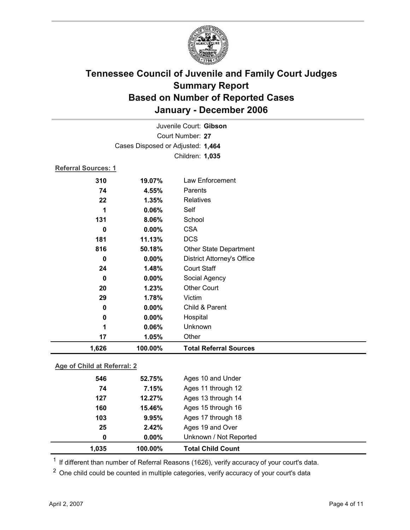

|                     |                                   | Juvenile Court: Gibson            |
|---------------------|-----------------------------------|-----------------------------------|
| Court Number: 27    |                                   |                                   |
|                     | Cases Disposed or Adjusted: 1,464 |                                   |
|                     |                                   | Children: 1,035                   |
| Referral Sources: 1 |                                   |                                   |
| 310                 | 19.07%                            | Law Enforcement                   |
| 74                  | 4.55%                             | Parents                           |
| 22                  | 1.35%                             | Relatives                         |
| 1                   | 0.06%                             | Self                              |
| 131                 | 8.06%                             | School                            |
| $\mathbf 0$         | 0.00%                             | <b>CSA</b>                        |
| 181                 | 11.13%                            | <b>DCS</b>                        |
| 816                 | 50.18%                            | Other State Department            |
| 0                   | 0.00%                             | <b>District Attorney's Office</b> |
| 24                  | 1.48%                             | <b>Court Staff</b>                |
| $\mathbf 0$         | 0.00%                             | Social Agency                     |
| 20                  | 1.23%                             | <b>Other Court</b>                |
| 29                  | 1.78%                             | Victim                            |
| 0                   | 0.00%                             | Child & Parent                    |
| 0                   | 0.00%                             | Hospital                          |
| 1                   | 0.06%                             | Unknown                           |
| 17                  | 1.05%                             | Other                             |
| 1,626               | 100.00%                           | <b>Total Referral Sources</b>     |
|                     |                                   |                                   |

### **Age of Child at Referral: 2**

| 1,035 | 100.00%  | <b>Total Child Count</b> |  |
|-------|----------|--------------------------|--|
| 0     | $0.00\%$ | Unknown / Not Reported   |  |
| 25    | 2.42%    | Ages 19 and Over         |  |
| 103   | 9.95%    | Ages 17 through 18       |  |
| 160   | 15.46%   | Ages 15 through 16       |  |
| 127   | 12.27%   | Ages 13 through 14       |  |
| 74    | 7.15%    | Ages 11 through 12       |  |
| 546   | 52.75%   | Ages 10 and Under        |  |
|       |          |                          |  |

 $1$  If different than number of Referral Reasons (1626), verify accuracy of your court's data.

<sup>2</sup> One child could be counted in multiple categories, verify accuracy of your court's data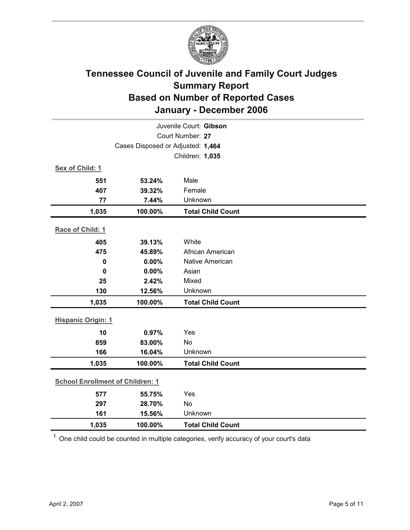

| Juvenile Court: Gibson                  |                                   |                          |  |  |
|-----------------------------------------|-----------------------------------|--------------------------|--|--|
| Court Number: 27                        |                                   |                          |  |  |
|                                         | Cases Disposed or Adjusted: 1,464 |                          |  |  |
|                                         |                                   | Children: 1,035          |  |  |
| Sex of Child: 1                         |                                   |                          |  |  |
| 551                                     | 53.24%                            | Male                     |  |  |
| 407                                     | 39.32%                            | Female                   |  |  |
| 77                                      | 7.44%                             | Unknown                  |  |  |
| 1,035                                   | 100.00%                           | <b>Total Child Count</b> |  |  |
| Race of Child: 1                        |                                   |                          |  |  |
| 405                                     | 39.13%                            | White                    |  |  |
| 475                                     | 45.89%                            | African American         |  |  |
| $\mathbf 0$                             | 0.00%                             | Native American          |  |  |
| $\mathbf 0$                             | 0.00%                             | Asian                    |  |  |
| 25                                      | 2.42%                             | Mixed                    |  |  |
| 130                                     | 12.56%                            | Unknown                  |  |  |
| 1,035                                   | 100.00%                           | <b>Total Child Count</b> |  |  |
| <b>Hispanic Origin: 1</b>               |                                   |                          |  |  |
| 10                                      | 0.97%                             | Yes                      |  |  |
| 859                                     | 83.00%                            | <b>No</b>                |  |  |
| 166                                     | 16.04%                            | Unknown                  |  |  |
| 1,035                                   | 100.00%                           | <b>Total Child Count</b> |  |  |
| <b>School Enrollment of Children: 1</b> |                                   |                          |  |  |
| 577                                     | 55.75%                            | Yes                      |  |  |
| 297                                     | 28.70%                            | <b>No</b>                |  |  |
| 161                                     | 15.56%                            | Unknown                  |  |  |
| 1,035                                   | 100.00%                           | <b>Total Child Count</b> |  |  |

 $1$  One child could be counted in multiple categories, verify accuracy of your court's data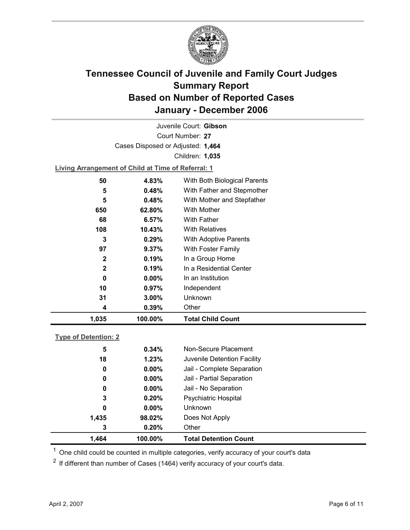

Court Number: **27** Juvenile Court: **Gibson** Cases Disposed or Adjusted: **1,464** Children: **1,035**

**Living Arrangement of Child at Time of Referral: 1**

| 1,035        | 100.00%   | <b>Total Child Count</b>     |
|--------------|-----------|------------------------------|
| 4            | 0.39%     | Other                        |
| 31           | $3.00\%$  | Unknown                      |
| 10           | $0.97\%$  | Independent                  |
| 0            | $0.00\%$  | In an Institution            |
| $\mathbf{2}$ | 0.19%     | In a Residential Center      |
| $\mathbf 2$  | 0.19%     | In a Group Home              |
| 97           | 9.37%     | With Foster Family           |
| 3            | 0.29%     | <b>With Adoptive Parents</b> |
| 108          | $10.43\%$ | <b>With Relatives</b>        |
| 68           | 6.57%     | With Father                  |
| 650          | 62.80%    | With Mother                  |
| 5            | 0.48%     | With Mother and Stepfather   |
| 5            | 0.48%     | With Father and Stepmother   |
| 50           | 4.83%     | With Both Biological Parents |
|              |           |                              |

### **Type of Detention: 2**

| 1,464 | 100.00%  | <b>Total Detention Count</b> |
|-------|----------|------------------------------|
| 3     | 0.20%    | Other                        |
| 1,435 | 98.02%   | Does Not Apply               |
| 0     | $0.00\%$ | <b>Unknown</b>               |
| 3     | 0.20%    | <b>Psychiatric Hospital</b>  |
| 0     | $0.00\%$ | Jail - No Separation         |
| 0     | $0.00\%$ | Jail - Partial Separation    |
| 0     | $0.00\%$ | Jail - Complete Separation   |
| 18    | 1.23%    | Juvenile Detention Facility  |
| 5     | 0.34%    | Non-Secure Placement         |
|       |          |                              |

 $<sup>1</sup>$  One child could be counted in multiple categories, verify accuracy of your court's data</sup>

 $2$  If different than number of Cases (1464) verify accuracy of your court's data.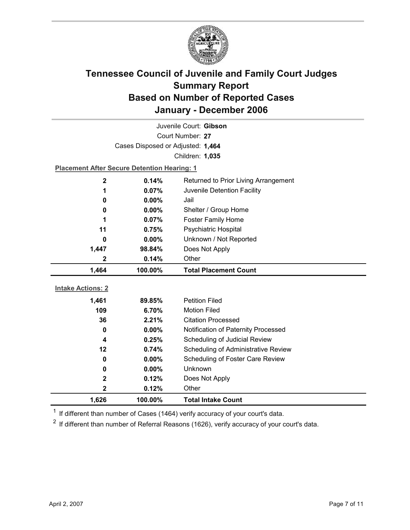

| Juvenile Court: Gibson   |                                                    |                                      |  |  |
|--------------------------|----------------------------------------------------|--------------------------------------|--|--|
| Court Number: 27         |                                                    |                                      |  |  |
|                          | Cases Disposed or Adjusted: 1,464                  |                                      |  |  |
|                          |                                                    | Children: 1,035                      |  |  |
|                          | <b>Placement After Secure Detention Hearing: 1</b> |                                      |  |  |
| 2                        | 0.14%                                              | Returned to Prior Living Arrangement |  |  |
| 1                        | 0.07%                                              | Juvenile Detention Facility          |  |  |
| 0                        | 0.00%                                              | Jail                                 |  |  |
| 0                        | $0.00\%$                                           | Shelter / Group Home                 |  |  |
| 1                        | 0.07%                                              | <b>Foster Family Home</b>            |  |  |
| 11                       | 0.75%                                              | Psychiatric Hospital                 |  |  |
| 0                        | 0.00%                                              | Unknown / Not Reported               |  |  |
| 1,447                    | 98.84%                                             | Does Not Apply                       |  |  |
| 2                        | 0.14%                                              | Other                                |  |  |
|                          |                                                    |                                      |  |  |
| 1,464                    | 100.00%                                            | <b>Total Placement Count</b>         |  |  |
|                          |                                                    |                                      |  |  |
| <b>Intake Actions: 2</b> |                                                    | <b>Petition Filed</b>                |  |  |
| 1,461<br>109             | 89.85%<br>6.70%                                    | <b>Motion Filed</b>                  |  |  |
| 36                       | 2.21%                                              | <b>Citation Processed</b>            |  |  |
| 0                        | $0.00\%$                                           | Notification of Paternity Processed  |  |  |
| 4                        | 0.25%                                              | Scheduling of Judicial Review        |  |  |
| 12                       | 0.74%                                              | Scheduling of Administrative Review  |  |  |
| 0                        | $0.00\%$                                           | Scheduling of Foster Care Review     |  |  |
| 0                        | 0.00%                                              | Unknown                              |  |  |
| $\mathbf 2$              | 0.12%                                              | Does Not Apply                       |  |  |
| 2                        | 0.12%                                              | Other                                |  |  |

 $1$  If different than number of Cases (1464) verify accuracy of your court's data.

 $2$  If different than number of Referral Reasons (1626), verify accuracy of your court's data.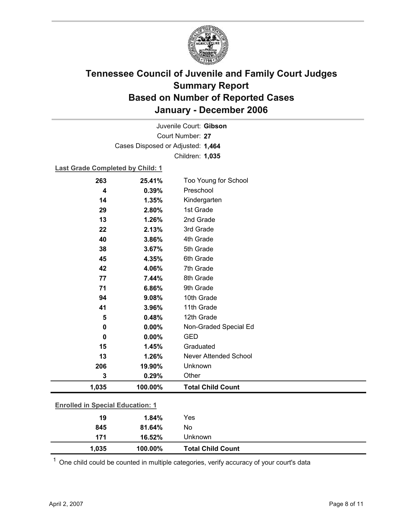

Court Number: **27** Juvenile Court: **Gibson** Cases Disposed or Adjusted: **1,464** Children: **1,035**

### **Last Grade Completed by Child: 1**

| 263                                     | 25.41%  | Too Young for School     |
|-----------------------------------------|---------|--------------------------|
| 4                                       | 0.39%   | Preschool                |
| 14                                      | 1.35%   | Kindergarten             |
| 29                                      | 2.80%   | 1st Grade                |
| 13                                      | 1.26%   | 2nd Grade                |
| 22                                      | 2.13%   | 3rd Grade                |
| 40                                      | 3.86%   | 4th Grade                |
| 38                                      | 3.67%   | 5th Grade                |
| 45                                      | 4.35%   | 6th Grade                |
| 42                                      | 4.06%   | 7th Grade                |
| 77                                      | 7.44%   | 8th Grade                |
| 71                                      | 6.86%   | 9th Grade                |
| 94                                      | 9.08%   | 10th Grade               |
| 41                                      | 3.96%   | 11th Grade               |
| 5                                       | 0.48%   | 12th Grade               |
| 0                                       | 0.00%   | Non-Graded Special Ed    |
| 0                                       | 0.00%   | <b>GED</b>               |
| 15                                      | 1.45%   | Graduated                |
| 13                                      | 1.26%   | Never Attended School    |
| 206                                     | 19.90%  | Unknown                  |
| 3                                       | 0.29%   | Other                    |
| 1,035                                   | 100.00% | <b>Total Child Count</b> |
| <b>Enrolled in Special Education: 1</b> |         |                          |
|                                         |         |                          |
| 19                                      | 1.84%   | Yes                      |
| 845                                     | 81.64%  | No                       |
| 171                                     | 16.52%  | Unknown                  |

 $1$  One child could be counted in multiple categories, verify accuracy of your court's data

**1,035 100.00% Total Child Count**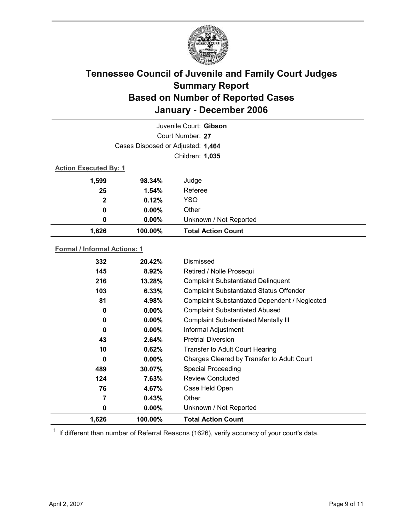

| Juvenile Court: Gibson              |                 |                                 |  |  |
|-------------------------------------|-----------------|---------------------------------|--|--|
| Court Number: 27                    |                 |                                 |  |  |
| Cases Disposed or Adjusted: 1,464   |                 |                                 |  |  |
|                                     | Children: 1,035 |                                 |  |  |
| <b>Action Executed By: 1</b>        |                 |                                 |  |  |
| 1,599                               | 98.34%          | Judge                           |  |  |
| 25                                  | 1.54%           | Referee                         |  |  |
| $\mathbf{2}$                        | 0.12%           | YSO                             |  |  |
| 0                                   | $0.00\%$        | Other                           |  |  |
| 0                                   | $0.00\%$        | Unknown / Not Reported          |  |  |
| 1,626                               | 100.00%         | <b>Total Action Count</b>       |  |  |
| <b>Formal / Informal Actions: 1</b> |                 |                                 |  |  |
| 332                                 | 20.42%          | Dismissed                       |  |  |
| 4AE                                 | 9.020           | <b>Datirad / Nolla Procegui</b> |  |  |

| 1,626 | 100.00%  | <b>Total Action Count</b>                      |
|-------|----------|------------------------------------------------|
| 0     | $0.00\%$ | Unknown / Not Reported                         |
|       | 0.43%    | Other                                          |
| 76    | 4.67%    | Case Held Open                                 |
| 124   | 7.63%    | <b>Review Concluded</b>                        |
| 489   | 30.07%   | <b>Special Proceeding</b>                      |
| 0     | $0.00\%$ | Charges Cleared by Transfer to Adult Court     |
| 10    | 0.62%    | <b>Transfer to Adult Court Hearing</b>         |
| 43    | 2.64%    | <b>Pretrial Diversion</b>                      |
| 0     | $0.00\%$ | Informal Adjustment                            |
| 0     | $0.00\%$ | <b>Complaint Substantiated Mentally III</b>    |
| 0     | $0.00\%$ | <b>Complaint Substantiated Abused</b>          |
| 81    | 4.98%    | Complaint Substantiated Dependent / Neglected  |
| 103   | $6.33\%$ | <b>Complaint Substantiated Status Offender</b> |
| 216   | 13.28%   | <b>Complaint Substantiated Delinquent</b>      |
| 145   | $8.92\%$ | Retired / Nolle Prosegui                       |
|       |          |                                                |

 $1$  If different than number of Referral Reasons (1626), verify accuracy of your court's data.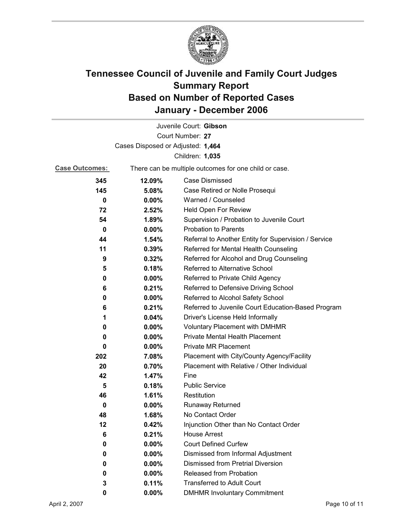

|                                   |                                                       | Juvenile Court: Gibson                               |
|-----------------------------------|-------------------------------------------------------|------------------------------------------------------|
|                                   |                                                       | Court Number: 27                                     |
| Cases Disposed or Adjusted: 1,464 |                                                       |                                                      |
|                                   |                                                       | Children: 1,035                                      |
| <b>Case Outcomes:</b>             | There can be multiple outcomes for one child or case. |                                                      |
| 345                               | 12.09%                                                | <b>Case Dismissed</b>                                |
| 145                               | 5.08%                                                 | Case Retired or Nolle Prosequi                       |
| 0                                 | 0.00%                                                 | Warned / Counseled                                   |
| 72                                | 2.52%                                                 | Held Open For Review                                 |
| 54                                | 1.89%                                                 | Supervision / Probation to Juvenile Court            |
| 0                                 | $0.00\%$                                              | <b>Probation to Parents</b>                          |
| 44                                | 1.54%                                                 | Referral to Another Entity for Supervision / Service |
| 11                                | 0.39%                                                 | Referred for Mental Health Counseling                |
| 9                                 | 0.32%                                                 | Referred for Alcohol and Drug Counseling             |
| 5                                 | 0.18%                                                 | Referred to Alternative School                       |
| 0                                 | $0.00\%$                                              | Referred to Private Child Agency                     |
| 6                                 | 0.21%                                                 | Referred to Defensive Driving School                 |
| 0                                 | $0.00\%$                                              | Referred to Alcohol Safety School                    |
| 6                                 | 0.21%                                                 | Referred to Juvenile Court Education-Based Program   |
| 1                                 | 0.04%                                                 | Driver's License Held Informally                     |
| 0                                 | $0.00\%$                                              | <b>Voluntary Placement with DMHMR</b>                |
| 0                                 | $0.00\%$                                              | Private Mental Health Placement                      |
| 0                                 | $0.00\%$                                              | <b>Private MR Placement</b>                          |
| 202                               | 7.08%                                                 | Placement with City/County Agency/Facility           |
| 20                                | 0.70%                                                 | Placement with Relative / Other Individual           |
| 42                                | 1.47%                                                 | Fine                                                 |
| 5                                 | 0.18%                                                 | <b>Public Service</b>                                |
| 46                                | 1.61%                                                 | Restitution                                          |
| 0                                 | $0.00\%$                                              | <b>Runaway Returned</b>                              |
| 48                                | 1.68%                                                 | No Contact Order                                     |
| 12                                | 0.42%                                                 | Injunction Other than No Contact Order               |
| 6                                 | 0.21%                                                 | <b>House Arrest</b>                                  |
| 0                                 | $0.00\%$                                              | <b>Court Defined Curfew</b>                          |
| 0                                 | 0.00%                                                 | Dismissed from Informal Adjustment                   |
| 0                                 | 0.00%                                                 | <b>Dismissed from Pretrial Diversion</b>             |
| 0                                 | 0.00%                                                 | <b>Released from Probation</b>                       |
| 3                                 | 0.11%                                                 | <b>Transferred to Adult Court</b>                    |
| 0                                 | 0.00%                                                 | <b>DMHMR Involuntary Commitment</b>                  |